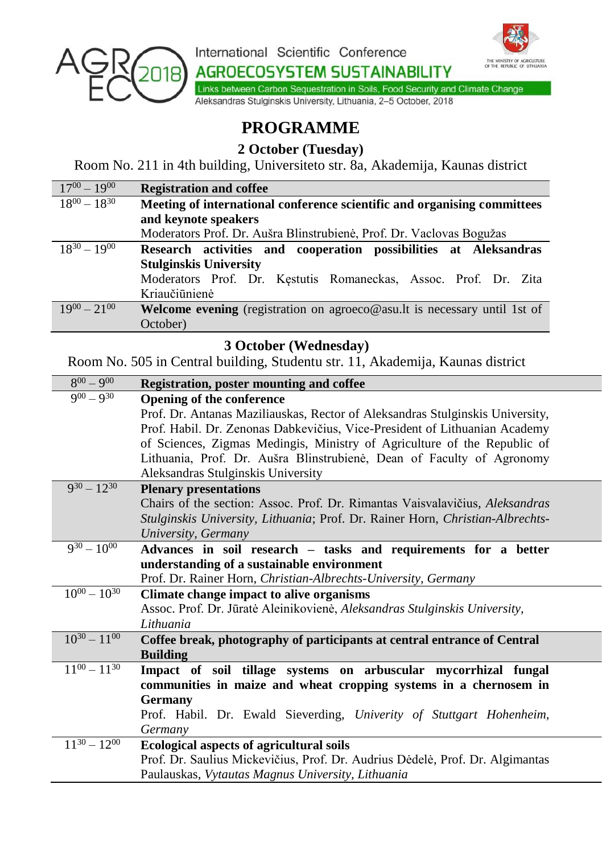

International Scientific Conference

**AGROECOSYSTEM SUSTAINABILITY** 



Links between Carbon Sequestration in Soils, Food Security and Climate Change Aleksandras Stulginskis University, Lithuania, 2-5 October, 2018

## **PROGRAMME**

**2 October (Tuesday)**

Room No. 211 in 4th building, Universiteto str. 8a, Akademija, Kaunas district

| $17^{00} - 19^{00}$ | <b>Registration and coffee</b>                                            |
|---------------------|---------------------------------------------------------------------------|
| $18^{00} - 18^{30}$ | Meeting of international conference scientific and organising committees  |
|                     | and keynote speakers                                                      |
|                     | Moderators Prof. Dr. Aušra Blinstrubienė, Prof. Dr. Vaclovas Bogužas      |
| $18^{30} - 19^{00}$ | Research activities and cooperation possibilities at Aleksandras          |
|                     | <b>Stulginskis University</b>                                             |
|                     | Moderators Prof. Dr. Kestutis Romaneckas, Assoc. Prof. Dr. Zita           |
|                     | Kriaučiūnienė                                                             |
| $19^{00} - 21^{00}$ | Welcome evening (registration on agroeco@asu.lt is necessary until 1st of |
|                     | October)                                                                  |

## **3 October (Wednesday)**

Room No. 505 in Central building, Studentu str. 11, Akademija, Kaunas district

| Registration, poster mounting and coffee                                       |
|--------------------------------------------------------------------------------|
| Opening of the conference                                                      |
| Prof. Dr. Antanas Maziliauskas, Rector of Aleksandras Stulginskis University,  |
| Prof. Habil. Dr. Zenonas Dabkevičius, Vice-President of Lithuanian Academy     |
| of Sciences, Zigmas Medingis, Ministry of Agriculture of the Republic of       |
| Lithuania, Prof. Dr. Aušra Blinstrubienė, Dean of Faculty of Agronomy          |
| Aleksandras Stulginskis University                                             |
| <b>Plenary presentations</b>                                                   |
| Chairs of the section: Assoc. Prof. Dr. Rimantas Vaisvalavičius, Aleksandras   |
| Stulginskis University, Lithuania; Prof. Dr. Rainer Horn, Christian-Albrechts- |
| University, Germany                                                            |
| Advances in soil research – tasks and requirements for a better                |
| understanding of a sustainable environment                                     |
| Prof. Dr. Rainer Horn, Christian-Albrechts-University, Germany                 |
| Climate change impact to alive organisms                                       |
| Assoc. Prof. Dr. Jūratė Aleinikovienė, Aleksandras Stulginskis University,     |
| Lithuania                                                                      |
| Coffee break, photography of participants at central entrance of Central       |
| <b>Building</b>                                                                |
| Impact of soil tillage systems on arbuscular mycorrhizal fungal                |
| communities in maize and wheat cropping systems in a chernosem in              |
| Germany                                                                        |
| Prof. Habil. Dr. Ewald Sieverding, Univerity of Stuttgart Hohenheim,           |
| Germany                                                                        |
| <b>Ecological aspects of agricultural soils</b>                                |
| Prof. Dr. Saulius Mickevičius, Prof. Dr. Audrius Dėdelė, Prof. Dr. Algimantas  |
| Paulauskas, Vytautas Magnus University, Lithuania                              |
|                                                                                |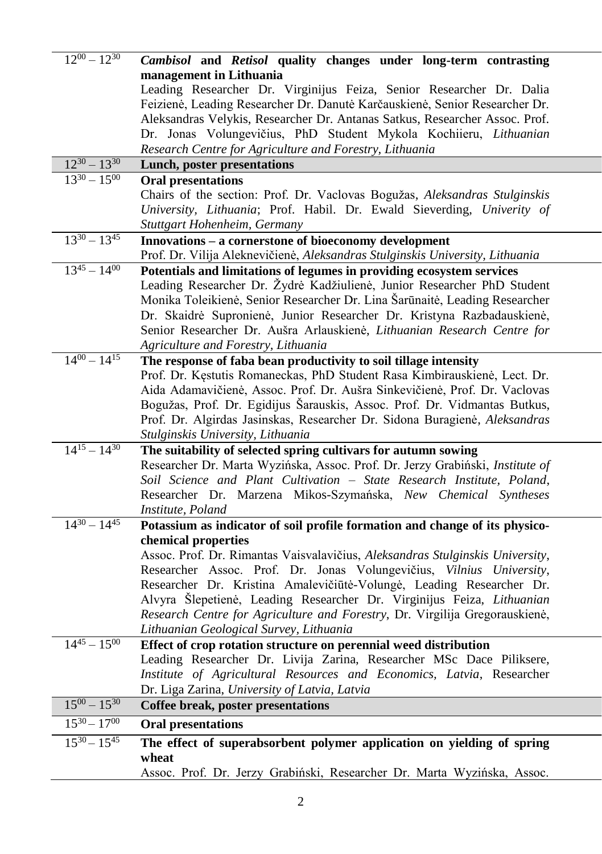| $12^{00} - 12^{30}$ | Cambisol and Retisol quality changes under long-term contrasting                                                                                        |
|---------------------|---------------------------------------------------------------------------------------------------------------------------------------------------------|
|                     | management in Lithuania                                                                                                                                 |
|                     | Leading Researcher Dr. Virginijus Feiza, Senior Researcher Dr. Dalia                                                                                    |
|                     | Feizienė, Leading Researcher Dr. Danutė Karčauskienė, Senior Researcher Dr.                                                                             |
|                     | Aleksandras Velykis, Researcher Dr. Antanas Satkus, Researcher Assoc. Prof.                                                                             |
|                     | Dr. Jonas Volungevičius, PhD Student Mykola Kochiieru, Lithuanian                                                                                       |
|                     | Research Centre for Agriculture and Forestry, Lithuania                                                                                                 |
| $12^{30} - 13^{30}$ | Lunch, poster presentations                                                                                                                             |
| $13^{30} - 15^{00}$ | <b>Oral presentations</b>                                                                                                                               |
|                     | Chairs of the section: Prof. Dr. Vaclovas Bogužas, Aleksandras Stulginskis                                                                              |
|                     | University, Lithuania; Prof. Habil. Dr. Ewald Sieverding, Univerity of                                                                                  |
|                     | Stuttgart Hohenheim, Germany                                                                                                                            |
| $13^{30} - 13^{45}$ | Innovations - a cornerstone of bioeconomy development                                                                                                   |
|                     | Prof. Dr. Vilija Aleknevičienė, Aleksandras Stulginskis University, Lithuania                                                                           |
| $13^{45} - 14^{00}$ | Potentials and limitations of legumes in providing ecosystem services                                                                                   |
|                     | Leading Researcher Dr. Žydrė Kadžiulienė, Junior Researcher PhD Student                                                                                 |
|                     | Monika Toleikienė, Senior Researcher Dr. Lina Šarūnaitė, Leading Researcher                                                                             |
|                     | Dr. Skaidrė Supronienė, Junior Researcher Dr. Kristyna Razbadauskienė,                                                                                  |
|                     | Senior Researcher Dr. Aušra Arlauskienė, Lithuanian Research Centre for                                                                                 |
|                     | Agriculture and Forestry, Lithuania                                                                                                                     |
| $14^{00} - 14^{15}$ | The response of faba bean productivity to soil tillage intensity                                                                                        |
|                     | Prof. Dr. Kęstutis Romaneckas, PhD Student Rasa Kimbirauskienė, Lect. Dr.                                                                               |
|                     | Aida Adamavičienė, Assoc. Prof. Dr. Aušra Sinkevičienė, Prof. Dr. Vaclovas                                                                              |
|                     | Bogužas, Prof. Dr. Egidijus Šarauskis, Assoc. Prof. Dr. Vidmantas Butkus,                                                                               |
|                     | Prof. Dr. Algirdas Jasinskas, Researcher Dr. Sidona Buragienė, Aleksandras                                                                              |
| $14^{15} - 14^{30}$ | Stulginskis University, Lithuania                                                                                                                       |
|                     | The suitability of selected spring cultivars for autumn sowing                                                                                          |
|                     | Researcher Dr. Marta Wyzińska, Assoc. Prof. Dr. Jerzy Grabiński, Institute of<br>Soil Science and Plant Cultivation - State Research Institute, Poland, |
|                     |                                                                                                                                                         |
|                     | Researcher Dr. Marzena Mikos-Szymańska, New Chemical Syntheses<br>Institute, Poland                                                                     |
| $14^{30} - 14^{45}$ | Potassium as indicator of soil profile formation and change of its physico-                                                                             |
|                     | chemical properties                                                                                                                                     |
|                     | Assoc. Prof. Dr. Rimantas Vaisvalavičius, Aleksandras Stulginskis University,                                                                           |
|                     | Researcher Assoc. Prof. Dr. Jonas Volungevičius, Vilnius University,                                                                                    |
|                     | Researcher Dr. Kristina Amalevičiūtė-Volungė, Leading Researcher Dr.                                                                                    |
|                     | Alvyra Šlepetienė, Leading Researcher Dr. Virginijus Feiza, Lithuanian                                                                                  |
|                     | Research Centre for Agriculture and Forestry, Dr. Virgilija Gregorauskienė,                                                                             |
|                     | Lithuanian Geological Survey, Lithuania                                                                                                                 |
| $14^{45} - 15^{00}$ | Effect of crop rotation structure on perennial weed distribution                                                                                        |
|                     | Leading Researcher Dr. Livija Zarina, Researcher MSc Dace Piliksere,                                                                                    |
|                     | Institute of Agricultural Resources and Economics, Latvia, Researcher                                                                                   |
|                     | Dr. Liga Zarina, University of Latvia, Latvia                                                                                                           |
| $15^{00} - 15^{30}$ | Coffee break, poster presentations                                                                                                                      |
| $15^{30} - 17^{00}$ | <b>Oral presentations</b>                                                                                                                               |
| $15^{30} - 15^{45}$ | The effect of superabsorbent polymer application on yielding of spring                                                                                  |
|                     | wheat                                                                                                                                                   |
|                     | Assoc. Prof. Dr. Jerzy Grabiński, Researcher Dr. Marta Wyzińska, Assoc.                                                                                 |